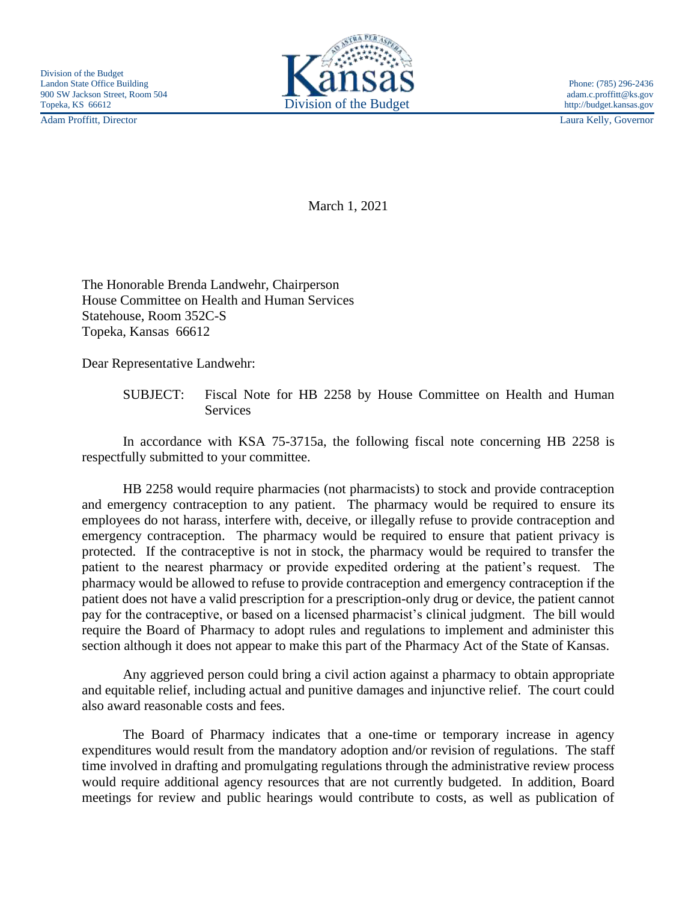Adam Proffitt, Director Laura Kelly, Governor



March 1, 2021

The Honorable Brenda Landwehr, Chairperson House Committee on Health and Human Services Statehouse, Room 352C-S Topeka, Kansas 66612

Dear Representative Landwehr:

SUBJECT: Fiscal Note for HB 2258 by House Committee on Health and Human Services

In accordance with KSA 75-3715a, the following fiscal note concerning HB 2258 is respectfully submitted to your committee.

HB 2258 would require pharmacies (not pharmacists) to stock and provide contraception and emergency contraception to any patient. The pharmacy would be required to ensure its employees do not harass, interfere with, deceive, or illegally refuse to provide contraception and emergency contraception. The pharmacy would be required to ensure that patient privacy is protected. If the contraceptive is not in stock, the pharmacy would be required to transfer the patient to the nearest pharmacy or provide expedited ordering at the patient's request. The pharmacy would be allowed to refuse to provide contraception and emergency contraception if the patient does not have a valid prescription for a prescription-only drug or device, the patient cannot pay for the contraceptive, or based on a licensed pharmacist's clinical judgment. The bill would require the Board of Pharmacy to adopt rules and regulations to implement and administer this section although it does not appear to make this part of the Pharmacy Act of the State of Kansas.

Any aggrieved person could bring a civil action against a pharmacy to obtain appropriate and equitable relief, including actual and punitive damages and injunctive relief. The court could also award reasonable costs and fees.

The Board of Pharmacy indicates that a one-time or temporary increase in agency expenditures would result from the mandatory adoption and/or revision of regulations. The staff time involved in drafting and promulgating regulations through the administrative review process would require additional agency resources that are not currently budgeted. In addition, Board meetings for review and public hearings would contribute to costs, as well as publication of